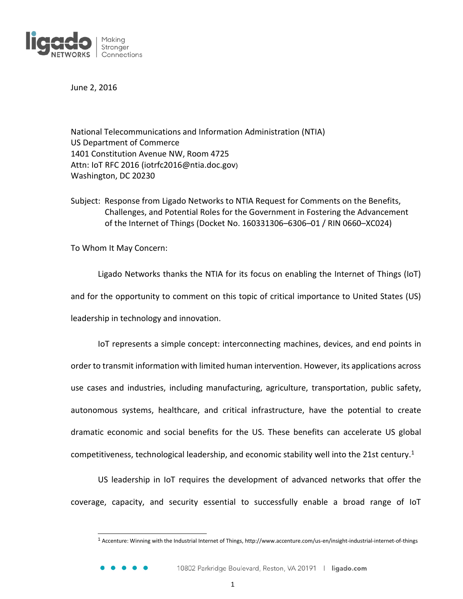

June 2, 2016

National Telecommunications and Information Administration (NTIA) US Department of Commerce 1401 Constitution Avenue NW, Room 4725 Attn: IoT RFC 2016 (iotrfc2016@ntia.doc.gov) Washington, DC 20230

Subject: Response from Ligado Networks to NTIA Request for Comments on the Benefits, Challenges, and Potential Roles for the Government in Fostering the Advancement of the Internet of Things (Docket No. 160331306–6306–01 / RIN 0660–XC024)

To Whom It May Concern:

l

Ligado Networks thanks the NTIA for its focus on enabling the Internet of Things (IoT) and for the opportunity to comment on this topic of critical importance to United States (US) leadership in technology and innovation.

IoT represents a simple concept: interconnecting machines, devices, and end points in order to transmit information with limited human intervention. However, its applications across use cases and industries, including manufacturing, agriculture, transportation, public safety, autonomous systems, healthcare, and critical infrastructure, have the potential to create dramatic economic and social benefits for the US. These benefits can accelerate US global competitiveness, technological leadership, and economic stability well into the 21st century.<sup>1</sup>

US leadership in IoT requires the development of advanced networks that offer the coverage, capacity, and security essential to successfully enable a broad range of IoT

<sup>1</sup> Accenture: Winning with the Industrial Internet of Things, http://www.accenture.com/us-en/insight-industrial-internet-of-things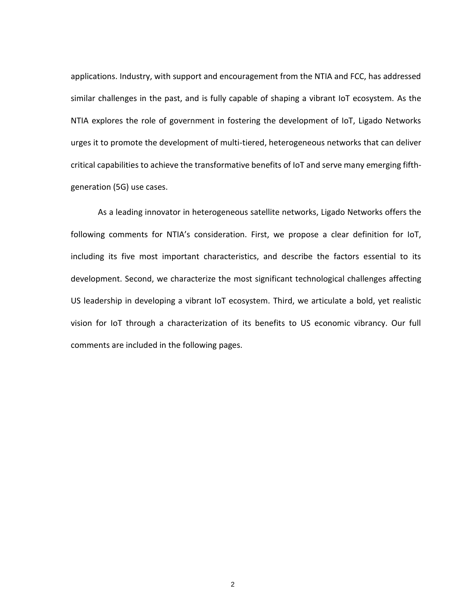applications. Industry, with support and encouragement from the NTIA and FCC, has addressed similar challenges in the past, and is fully capable of shaping a vibrant IoT ecosystem. As the NTIA explores the role of government in fostering the development of IoT, Ligado Networks urges it to promote the development of multi-tiered, heterogeneous networks that can deliver critical capabilities to achieve the transformative benefits of IoT and serve many emerging fifthgeneration (5G) use cases.

As a leading innovator in heterogeneous satellite networks, Ligado Networks offers the following comments for NTIA's consideration. First, we propose a clear definition for IoT, including its five most important characteristics, and describe the factors essential to its development. Second, we characterize the most significant technological challenges affecting US leadership in developing a vibrant IoT ecosystem. Third, we articulate a bold, yet realistic vision for IoT through a characterization of its benefits to US economic vibrancy. Our full comments are included in the following pages.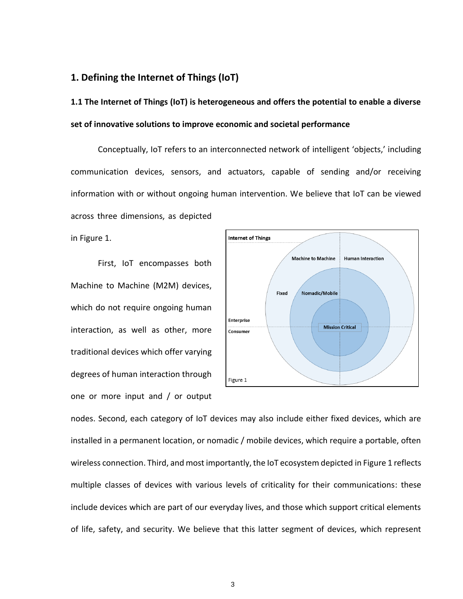### **1. Defining the Internet of Things (IoT)**

**1.1 The Internet of Things (IoT) is heterogeneous and offers the potential to enable a diverse set of innovative solutions to improve economic and societal performance**

Conceptually, IoT refers to an interconnected network of intelligent 'objects,' including communication devices, sensors, and actuators, capable of sending and/or receiving information with or without ongoing human intervention. We believe that IoT can be viewed across three dimensions, as depicted

in Figure 1.

First, IoT encompasses both Machine to Machine (M2M) devices, which do not require ongoing human interaction, as well as other, more traditional devices which offer varying degrees of human interaction through one or more input and / or output



nodes. Second, each category of IoT devices may also include either fixed devices, which are installed in a permanent location, or nomadic / mobile devices, which require a portable, often wireless connection. Third, and most importantly, the IoT ecosystem depicted in Figure 1 reflects multiple classes of devices with various levels of criticality for their communications: these include devices which are part of our everyday lives, and those which support critical elements of life, safety, and security. We believe that this latter segment of devices, which represent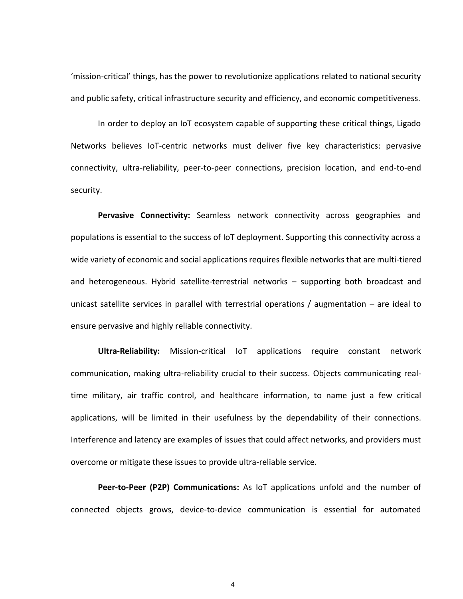'mission-critical' things, has the power to revolutionize applications related to national security and public safety, critical infrastructure security and efficiency, and economic competitiveness.

In order to deploy an IoT ecosystem capable of supporting these critical things, Ligado Networks believes IoT-centric networks must deliver five key characteristics: pervasive connectivity, ultra-reliability, peer-to-peer connections, precision location, and end-to-end security.

**Pervasive Connectivity:** Seamless network connectivity across geographies and populations is essential to the success of IoT deployment. Supporting this connectivity across a wide variety of economic and social applications requires flexible networks that are multi-tiered and heterogeneous. Hybrid satellite-terrestrial networks – supporting both broadcast and unicast satellite services in parallel with terrestrial operations / augmentation – are ideal to ensure pervasive and highly reliable connectivity.

**Ultra-Reliability:** Mission-critical IoT applications require constant network communication, making ultra-reliability crucial to their success. Objects communicating realtime military, air traffic control, and healthcare information, to name just a few critical applications, will be limited in their usefulness by the dependability of their connections. Interference and latency are examples of issues that could affect networks, and providers must overcome or mitigate these issues to provide ultra-reliable service.

**Peer-to-Peer (P2P) Communications:** As IoT applications unfold and the number of connected objects grows, device-to-device communication is essential for automated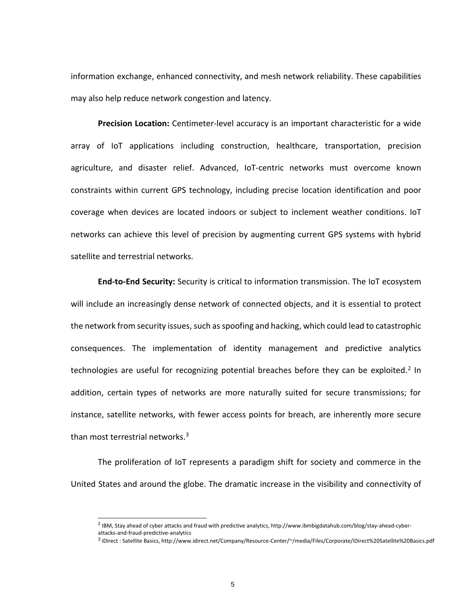information exchange, enhanced connectivity, and mesh network reliability. These capabilities may also help reduce network congestion and latency.

**Precision Location:** Centimeter-level accuracy is an important characteristic for a wide array of IoT applications including construction, healthcare, transportation, precision agriculture, and disaster relief. Advanced, IoT-centric networks must overcome known constraints within current GPS technology, including precise location identification and poor coverage when devices are located indoors or subject to inclement weather conditions. IoT networks can achieve this level of precision by augmenting current GPS systems with hybrid satellite and terrestrial networks.

**End-to-End Security:** Security is critical to information transmission. The IoT ecosystem will include an increasingly dense network of connected objects, and it is essential to protect the network from security issues, such as spoofing and hacking, which could lead to catastrophic consequences. The implementation of identity management and predictive analytics technologies are useful for recognizing potential breaches before they can be exploited.<sup>2</sup> In addition, certain types of networks are more naturally suited for secure transmissions; for instance, satellite networks, with fewer access points for breach, are inherently more secure than most terrestrial networks. $3$ 

The proliferation of IoT represents a paradigm shift for society and commerce in the United States and around the globe. The dramatic increase in the visibility and connectivity of

<sup>2</sup> IBM, Stay ahead of cyber attacks and fraud with predictive analytics, http://www.ibmbigdatahub.com/blog/stay-ahead-cyberattacks-and-fraud-predictive-analytics

<sup>3</sup> iDirect : Satellite Basics, http://www.idirect.net/Company/Resource-Center/~/media/Files/Corporate/iDirect%20Satellite%20Basics.pdf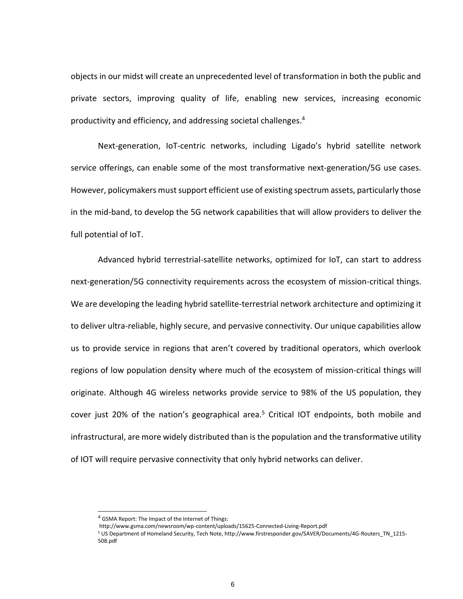objects in our midst will create an unprecedented level of transformation in both the public and private sectors, improving quality of life, enabling new services, increasing economic productivity and efficiency, and addressing societal challenges.<sup>4</sup>

Next-generation, IoT-centric networks, including Ligado's hybrid satellite network service offerings, can enable some of the most transformative next-generation/5G use cases. However, policymakers must support efficient use of existing spectrum assets, particularly those in the mid-band, to develop the 5G network capabilities that will allow providers to deliver the full potential of IoT.

Advanced hybrid terrestrial-satellite networks, optimized for IoT, can start to address next-generation/5G connectivity requirements across the ecosystem of mission-critical things. We are developing the leading hybrid satellite-terrestrial network architecture and optimizing it to deliver ultra-reliable, highly secure, and pervasive connectivity. Our unique capabilities allow us to provide service in regions that aren't covered by traditional operators, which overlook regions of low population density where much of the ecosystem of mission-critical things will originate. Although 4G wireless networks provide service to 98% of the US population, they cover just 20% of the nation's geographical area.<sup>5</sup> Critical IOT endpoints, both mobile and infrastructural, are more widely distributed than is the population and the transformative utility of IOT will require pervasive connectivity that only hybrid networks can deliver.

<sup>4</sup> GSMA Report: The Impact of the Internet of Things:

http://www.gsma.com/newsroom/wp-content/uploads/15625-Connected-Living-Report.pdf

<sup>5</sup> US Department of Homeland Security, Tech Note, http://www.firstresponder.gov/SAVER/Documents/4G-Routers\_TN\_1215- 508.pdf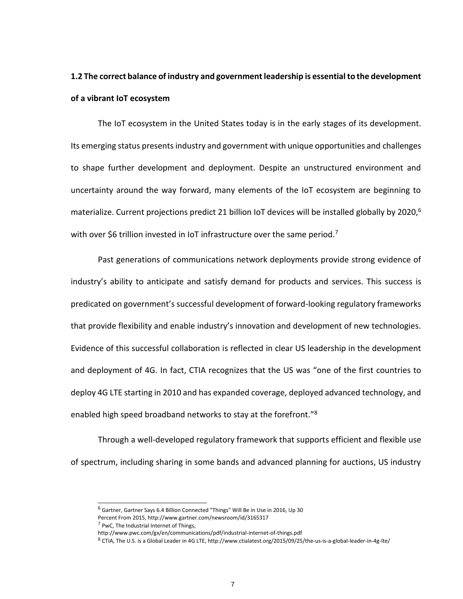## **1.2 The correct balance of industry and government leadership is essential to the development of a vibrant IoT ecosystem**

The IoT ecosystem in the United States today is in the early stages of its development. Its emerging status presents industry and government with unique opportunities and challenges to shape further development and deployment. Despite an unstructured environment and uncertainty around the way forward, many elements of the IoT ecosystem are beginning to materialize. Current projections predict 21 billion IoT devices will be installed globally by 2020,<sup>6</sup> with over \$6 trillion invested in IoT infrastructure over the same period.<sup>7</sup>

Past generations of communications network deployments provide strong evidence of industry's ability to anticipate and satisfy demand for products and services. This success is predicated on government's successful development of forward-looking regulatory frameworks that provide flexibility and enable industry's innovation and development of new technologies. Evidence of this successful collaboration is reflected in clear US leadership in the development and deployment of 4G. In fact, CTIA recognizes that the US was "one of the first countries to deploy 4G LTE starting in 2010 and has expanded coverage, deployed advanced technology, and enabled high speed broadband networks to stay at the forefront."<sup>8</sup>

Through a well-developed regulatory framework that supports efficient and flexible use of spectrum, including sharing in some bands and advanced planning for auctions, US industry

<sup>6</sup> Gartner, Gartner Says 6.4 Billion Connected "Things" Will Be in Use in 2016, Up 30

Percent From 2015, http://www.gartner.com/newsroom/id/3165317

 $<sup>7</sup>$  PwC, The Industrial Internet of Things,</sup>

http://www.pwc.com/gx/en/communications/pdf/industrial-internet-of-things.pdf

<sup>8</sup> CTIA, The U.S. is a Global Leader in 4G LTE, <http://www.ctialatest.org/2015/09/25/the-us-is-a-global-leader-in-4g-lte/>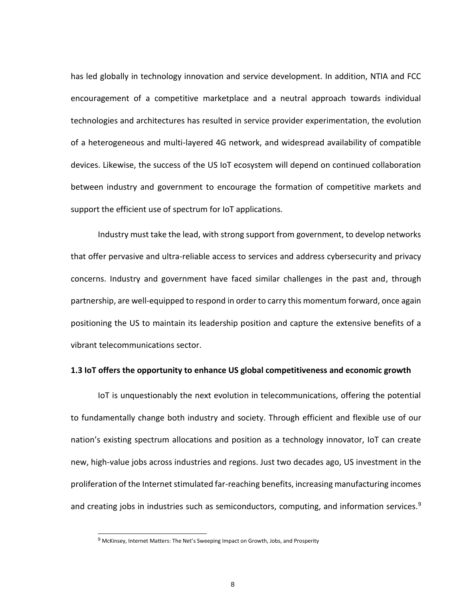has led globally in technology innovation and service development. In addition, NTIA and FCC encouragement of a competitive marketplace and a neutral approach towards individual technologies and architectures has resulted in service provider experimentation, the evolution of a heterogeneous and multi-layered 4G network, and widespread availability of compatible devices. Likewise, the success of the US IoT ecosystem will depend on continued collaboration between industry and government to encourage the formation of competitive markets and support the efficient use of spectrum for IoT applications.

Industry must take the lead, with strong support from government, to develop networks that offer pervasive and ultra-reliable access to services and address cybersecurity and privacy concerns. Industry and government have faced similar challenges in the past and, through partnership, are well-equipped to respond in order to carry this momentum forward, once again positioning the US to maintain its leadership position and capture the extensive benefits of a vibrant telecommunications sector.

#### **1.3 IoT offers the opportunity to enhance US global competitiveness and economic growth**

IoT is unquestionably the next evolution in telecommunications, offering the potential to fundamentally change both industry and society. Through efficient and flexible use of our nation's existing spectrum allocations and position as a technology innovator, IoT can create new, high-value jobs across industries and regions. Just two decades ago, US investment in the proliferation of the Internet stimulated far-reaching benefits, increasing manufacturing incomes and creating jobs in industries such as semiconductors, computing, and information services. $9$ 

<sup>&</sup>lt;sup>9</sup> McKinsey, Internet Matters: The Net's Sweeping Impact on Growth, Jobs, and Prosperity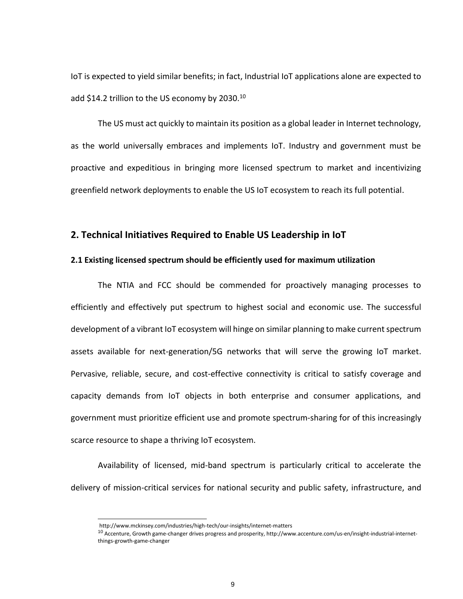IoT is expected to yield similar benefits; in fact, Industrial IoT applications alone are expected to add \$14.2 trillion to the US economy by 2030.<sup>10</sup>

The US must act quickly to maintain its position as a global leader in Internet technology, as the world universally embraces and implements IoT. Industry and government must be proactive and expeditious in bringing more licensed spectrum to market and incentivizing greenfield network deployments to enable the US IoT ecosystem to reach its full potential.

### **2. Technical Initiatives Required to Enable US Leadership in IoT**

#### **2.1 Existing licensed spectrum should be efficiently used for maximum utilization**

The NTIA and FCC should be commended for proactively managing processes to efficiently and effectively put spectrum to highest social and economic use. The successful development of a vibrant IoT ecosystem will hinge on similar planning to make current spectrum assets available for next-generation/5G networks that will serve the growing IoT market. Pervasive, reliable, secure, and cost-effective connectivity is critical to satisfy coverage and capacity demands from IoT objects in both enterprise and consumer applications, and government must prioritize efficient use and promote spectrum-sharing for of this increasingly scarce resource to shape a thriving IoT ecosystem.

Availability of licensed, mid-band spectrum is particularly critical to accelerate the delivery of mission-critical services for national security and public safety, infrastructure, and

http://www.mckinsey.com/industries/high-tech/our-insights/internet-matters

 $10$  Accenture, Growth game-changer drives progress and prosperity, http://www.accenture.com/us-en/insight-industrial-internetthings-growth-game-changer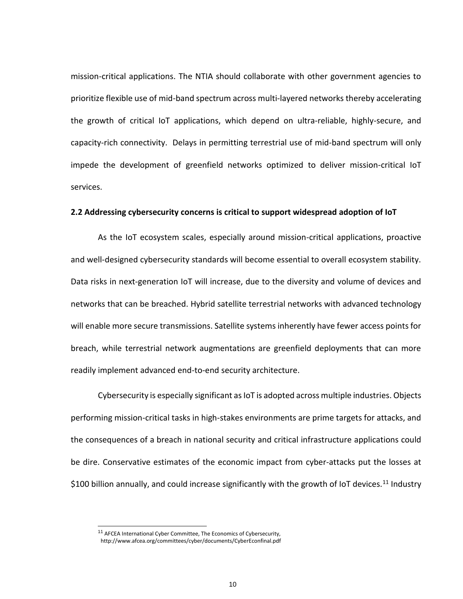mission-critical applications. The NTIA should collaborate with other government agencies to prioritize flexible use of mid-band spectrum across multi-layered networks thereby accelerating the growth of critical IoT applications, which depend on ultra-reliable, highly-secure, and capacity-rich connectivity. Delays in permitting terrestrial use of mid-band spectrum will only impede the development of greenfield networks optimized to deliver mission-critical IoT services.

#### **2.2 Addressing cybersecurity concerns is critical to support widespread adoption of IoT**

As the IoT ecosystem scales, especially around mission-critical applications, proactive and well-designed cybersecurity standards will become essential to overall ecosystem stability. Data risks in next-generation IoT will increase, due to the diversity and volume of devices and networks that can be breached. Hybrid satellite terrestrial networks with advanced technology will enable more secure transmissions. Satellite systems inherently have fewer access points for breach, while terrestrial network augmentations are greenfield deployments that can more readily implement advanced end-to-end security architecture.

Cybersecurity is especially significant as IoT is adopted across multiple industries. Objects performing mission-critical tasks in high-stakes environments are prime targets for attacks, and the consequences of a breach in national security and critical infrastructure applications could be dire. Conservative estimates of the economic impact from cyber-attacks put the losses at \$100 billion annually, and could increase significantly with the growth of IoT devices.<sup>11</sup> Industry

<sup>&</sup>lt;sup>11</sup> AFCEA International Cyber Committee, The Economics of Cybersecurity,

http://www.afcea.org/committees/cyber/documents/CyberEconfinal.pdf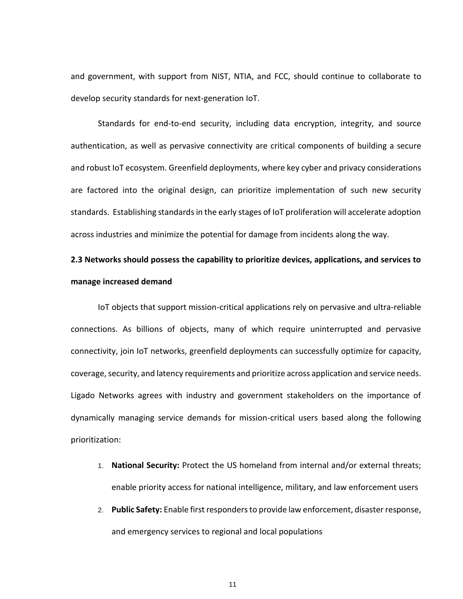and government, with support from NIST, NTIA, and FCC, should continue to collaborate to develop security standards for next-generation IoT.

Standards for end-to-end security, including data encryption, integrity, and source authentication, as well as pervasive connectivity are critical components of building a secure and robust IoT ecosystem. Greenfield deployments, where key cyber and privacy considerations are factored into the original design, can prioritize implementation of such new security standards. Establishing standards in the early stages of IoT proliferation will accelerate adoption across industries and minimize the potential for damage from incidents along the way.

## **2.3 Networks should possess the capability to prioritize devices, applications, and services to manage increased demand**

IoT objects that support mission-critical applications rely on pervasive and ultra-reliable connections. As billions of objects, many of which require uninterrupted and pervasive connectivity, join IoT networks, greenfield deployments can successfully optimize for capacity, coverage, security, and latency requirements and prioritize across application and service needs. Ligado Networks agrees with industry and government stakeholders on the importance of dynamically managing service demands for mission-critical users based along the following prioritization:

- 1. **National Security:** Protect the US homeland from internal and/or external threats; enable priority access for national intelligence, military, and law enforcement users
- 2. **Public Safety:** Enable first responders to provide law enforcement, disaster response, and emergency services to regional and local populations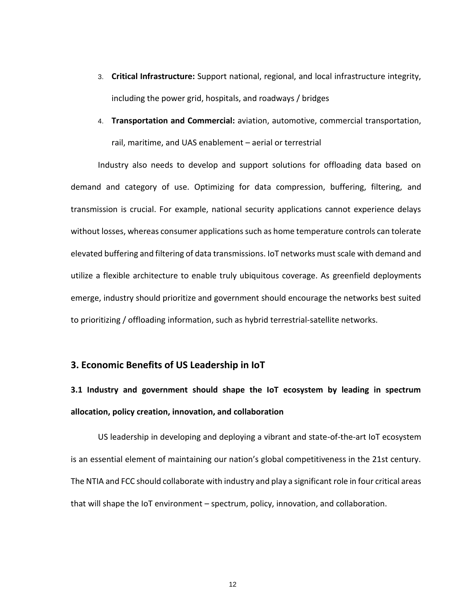- 3. **Critical Infrastructure:** Support national, regional, and local infrastructure integrity, including the power grid, hospitals, and roadways / bridges
- 4. **Transportation and Commercial:** aviation, automotive, commercial transportation, rail, maritime, and UAS enablement – aerial or terrestrial

Industry also needs to develop and support solutions for offloading data based on demand and category of use. Optimizing for data compression, buffering, filtering, and transmission is crucial. For example, national security applications cannot experience delays without losses, whereas consumer applications such as home temperature controls can tolerate elevated buffering and filtering of data transmissions. IoT networks must scale with demand and utilize a flexible architecture to enable truly ubiquitous coverage. As greenfield deployments emerge, industry should prioritize and government should encourage the networks best suited to prioritizing / offloading information, such as hybrid terrestrial-satellite networks.

### **3. Economic Benefits of US Leadership in IoT**

# **3.1 Industry and government should shape the IoT ecosystem by leading in spectrum allocation, policy creation, innovation, and collaboration**

US leadership in developing and deploying a vibrant and state-of-the-art IoT ecosystem is an essential element of maintaining our nation's global competitiveness in the 21st century. The NTIA and FCC should collaborate with industry and play a significant role in four critical areas that will shape the IoT environment – spectrum, policy, innovation, and collaboration.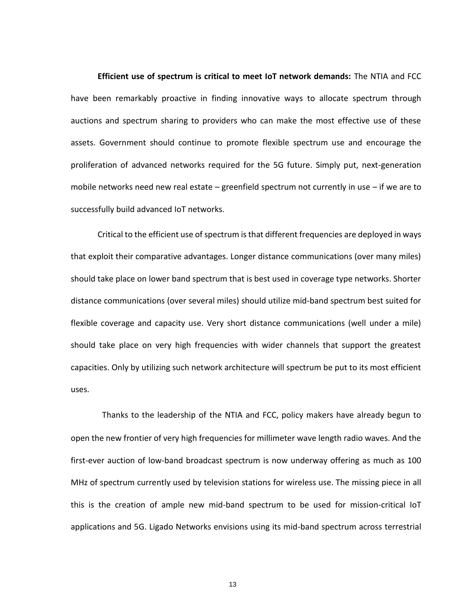**Efficient use of spectrum is critical to meet IoT network demands:** The NTIA and FCC have been remarkably proactive in finding innovative ways to allocate spectrum through auctions and spectrum sharing to providers who can make the most effective use of these assets. Government should continue to promote flexible spectrum use and encourage the proliferation of advanced networks required for the 5G future. Simply put, next-generation mobile networks need new real estate – greenfield spectrum not currently in use – if we are to successfully build advanced IoT networks.

Critical to the efficient use of spectrum is that different frequencies are deployed in ways that exploit their comparative advantages. Longer distance communications (over many miles) should take place on lower band spectrum that is best used in coverage type networks. Shorter distance communications (over several miles) should utilize mid-band spectrum best suited for flexible coverage and capacity use. Very short distance communications (well under a mile) should take place on very high frequencies with wider channels that support the greatest capacities. Only by utilizing such network architecture will spectrum be put to its most efficient uses.

Thanks to the leadership of the NTIA and FCC, policy makers have already begun to open the new frontier of very high frequencies for millimeter wave length radio waves. And the first-ever auction of low-band broadcast spectrum is now underway offering as much as 100 MHz of spectrum currently used by television stations for wireless use. The missing piece in all this is the creation of ample new mid-band spectrum to be used for mission-critical IoT applications and 5G. Ligado Networks envisions using its mid-band spectrum across terrestrial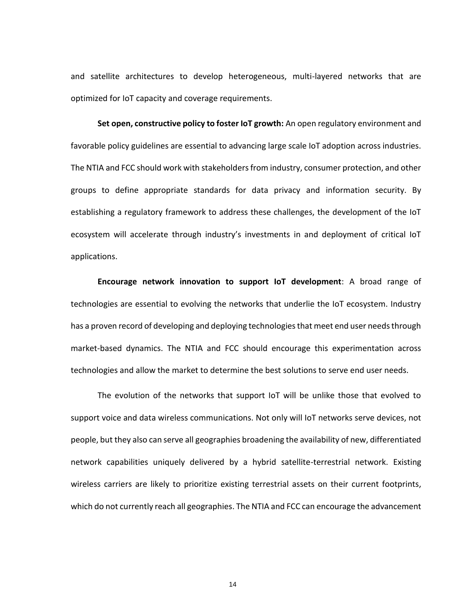and satellite architectures to develop heterogeneous, multi-layered networks that are optimized for IoT capacity and coverage requirements.

**Set open, constructive policy to foster IoT growth:** An open regulatory environment and favorable policy guidelines are essential to advancing large scale IoT adoption across industries. The NTIA and FCC should work with stakeholders from industry, consumer protection, and other groups to define appropriate standards for data privacy and information security. By establishing a regulatory framework to address these challenges, the development of the IoT ecosystem will accelerate through industry's investments in and deployment of critical IoT applications.

**Encourage network innovation to support IoT development**: A broad range of technologies are essential to evolving the networks that underlie the IoT ecosystem. Industry has a proven record of developing and deploying technologies that meet end user needs through market-based dynamics. The NTIA and FCC should encourage this experimentation across technologies and allow the market to determine the best solutions to serve end user needs.

The evolution of the networks that support IoT will be unlike those that evolved to support voice and data wireless communications. Not only will IoT networks serve devices, not people, but they also can serve all geographies broadening the availability of new, differentiated network capabilities uniquely delivered by a hybrid satellite-terrestrial network. Existing wireless carriers are likely to prioritize existing terrestrial assets on their current footprints, which do not currently reach all geographies. The NTIA and FCC can encourage the advancement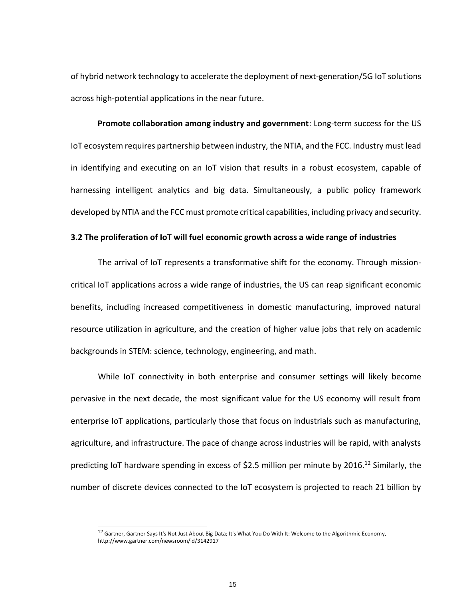of hybrid network technology to accelerate the deployment of next-generation/5G IoT solutions across high-potential applications in the near future.

**Promote collaboration among industry and government**: Long-term success for the US IoT ecosystem requires partnership between industry, the NTIA, and the FCC. Industry must lead in identifying and executing on an IoT vision that results in a robust ecosystem, capable of harnessing intelligent analytics and big data. Simultaneously, a public policy framework developed by NTIA and the FCC must promote critical capabilities, including privacy and security.

#### **3.2 The proliferation of IoT will fuel economic growth across a wide range of industries**

The arrival of IoT represents a transformative shift for the economy. Through missioncritical IoT applications across a wide range of industries, the US can reap significant economic benefits, including increased competitiveness in domestic manufacturing, improved natural resource utilization in agriculture, and the creation of higher value jobs that rely on academic backgrounds in STEM: science, technology, engineering, and math.

While IoT connectivity in both enterprise and consumer settings will likely become pervasive in the next decade, the most significant value for the US economy will result from enterprise IoT applications, particularly those that focus on industrials such as manufacturing, agriculture, and infrastructure. The pace of change across industries will be rapid, with analysts predicting IoT hardware spending in excess of \$2.5 million per minute by 2016.<sup>12</sup> Similarly, the number of discrete devices connected to the IoT ecosystem is projected to reach 21 billion by

<sup>&</sup>lt;sup>12</sup> Gartner, Gartner Says It's Not Just About Big Data; It's What You Do With It: Welcome to the Algorithmic Economy, http://www.gartner.com/newsroom/id/3142917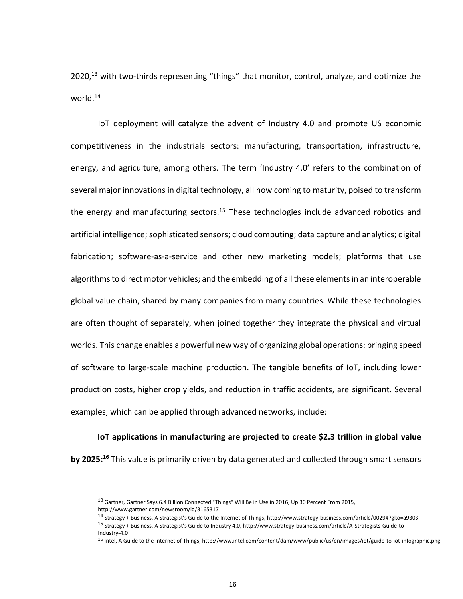2020,<sup>13</sup> with two-thirds representing "things" that monitor, control, analyze, and optimize the world.<sup>14</sup>

IoT deployment will catalyze the advent of Industry 4.0 and promote US economic competitiveness in the industrials sectors: manufacturing, transportation, infrastructure, energy, and agriculture, among others. The term 'Industry 4.0' refers to the combination of several major innovations in digital technology, all now coming to maturity, poised to transform the energy and manufacturing sectors.<sup>15</sup> These technologies include advanced robotics and artificial intelligence; sophisticated sensors; cloud computing; data capture and analytics; digital fabrication; software-as-a-service and other new marketing models; platforms that use algorithms to direct motor vehicles; and the embedding of all these elements in an interoperable global value chain, shared by many companies from many countries. While these technologies are often thought of separately, when joined together they integrate the physical and virtual worlds. This change enables a powerful new way of organizing global operations: bringing speed of software to large-scale machine production. The tangible benefits of IoT, including lower production costs, higher crop yields, and reduction in traffic accidents, are significant. Several examples, which can be applied through advanced networks, include:

**IoT applications in manufacturing are projected to create \$2.3 trillion in global value**

**by 2025:<sup>16</sup>** This value is primarily driven by data generated and collected through smart sensors

<sup>&</sup>lt;sup>13</sup> Gartner, Gartner Says 6.4 Billion Connected "Things" Will Be in Use in 2016, Up 30 Percent From 2015, http://www.gartner.com/newsroom/id/3165317

<sup>14</sup> Strategy + Business, A Strategist's Guide to the Internet of Things, http://www.strategy-business.com/article/00294?gko=a9303

<sup>15</sup> Strategy + Business, A Strategist's Guide to Industry 4.0[, http://www.strategy-business.com/article/A-Strategists-Guide-to-](http://www.strategy-business.com/article/A-Strategists-Guide-to-Industry-4.0)[Industry-4.0](http://www.strategy-business.com/article/A-Strategists-Guide-to-Industry-4.0)

<sup>&</sup>lt;sup>16</sup> Intel, A Guide to the Internet of Things, http://www.intel.com/content/dam/www/public/us/en/images/iot/guide-to-iot-infographic.png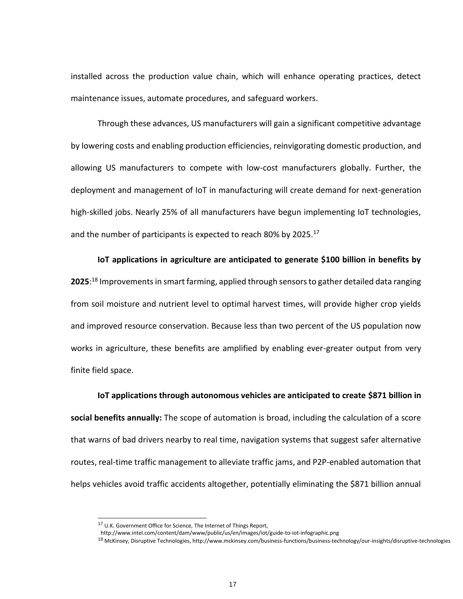installed across the production value chain, which will enhance operating practices, detect maintenance issues, automate procedures, and safeguard workers.

Through these advances, US manufacturers will gain a significant competitive advantage by lowering costs and enabling production efficiencies, reinvigorating domestic production, and allowing US manufacturers to compete with low-cost manufacturers globally. Further, the deployment and management of IoT in manufacturing will create demand for next-generation high-skilled jobs. Nearly 25% of all manufacturers have begun implementing IoT technologies, and the number of participants is expected to reach 80% by 2025. $^{17}$ 

**IoT applications in agriculture are anticipated to generate \$100 billion in benefits by 2025**: <sup>18</sup> Improvements in smart farming, applied through sensors to gather detailed data ranging from soil moisture and nutrient level to optimal harvest times, will provide higher crop yields and improved resource conservation. Because less than two percent of the US population now works in agriculture, these benefits are amplified by enabling ever-greater output from very finite field space.

**IoT applications through autonomous vehicles are anticipated to create \$871 billion in social benefits annually:** The scope of automation is broad, including the calculation of a score that warns of bad drivers nearby to real time, navigation systems that suggest safer alternative routes, real-time traffic management to alleviate traffic jams, and P2P-enabled automation that helps vehicles avoid traffic accidents altogether, potentially eliminating the \$871 billion annual

<sup>&</sup>lt;sup>17</sup> U.K. Government Office for Science, The Internet of Things Report,

http://www.intel.com/content/dam/www/public/us/en/images/iot/guide-to-iot-infographic.png

<sup>18</sup> McKinsey, Disruptive Technologies, http://www.mckinsey.com/business-functions/business-technology/our-insights/disruptive-technologies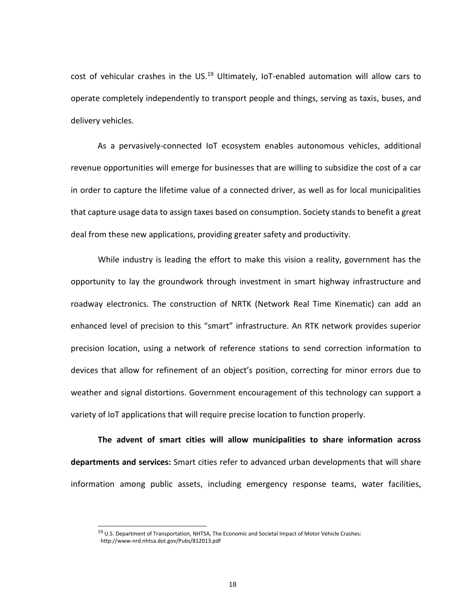cost of vehicular crashes in the US.<sup>19</sup> Ultimately, IoT-enabled automation will allow cars to operate completely independently to transport people and things, serving as taxis, buses, and delivery vehicles.

As a pervasively-connected IoT ecosystem enables autonomous vehicles, additional revenue opportunities will emerge for businesses that are willing to subsidize the cost of a car in order to capture the lifetime value of a connected driver, as well as for local municipalities that capture usage data to assign taxes based on consumption. Society stands to benefit a great deal from these new applications, providing greater safety and productivity.

While industry is leading the effort to make this vision a reality, government has the opportunity to lay the groundwork through investment in smart highway infrastructure and roadway electronics. The construction of NRTK (Network Real Time Kinematic) can add an enhanced level of precision to this "smart" infrastructure. An RTK network provides superior precision location, using a network of reference stations to send correction information to devices that allow for refinement of an object's position, correcting for minor errors due to weather and signal distortions. Government encouragement of this technology can support a variety of IoT applications that will require precise location to function properly.

**The advent of smart cities will allow municipalities to share information across departments and services:** Smart cities refer to advanced urban developments that will share information among public assets, including emergency response teams, water facilities,

<sup>&</sup>lt;sup>19</sup> U.S. Department of Transportation, NHTSA, The Economic and Societal Impact of Motor Vehicle Crashes: http://www-nrd.nhtsa.dot.gov/Pubs/812013.pdf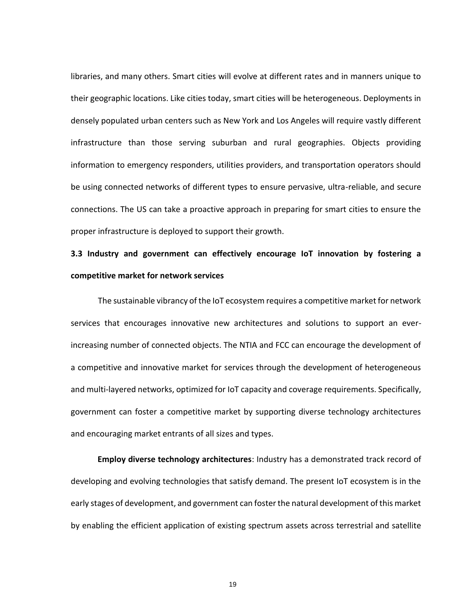libraries, and many others. Smart cities will evolve at different rates and in manners unique to their geographic locations. Like cities today, smart cities will be heterogeneous. Deployments in densely populated urban centers such as New York and Los Angeles will require vastly different infrastructure than those serving suburban and rural geographies. Objects providing information to emergency responders, utilities providers, and transportation operators should be using connected networks of different types to ensure pervasive, ultra-reliable, and secure connections. The US can take a proactive approach in preparing for smart cities to ensure the proper infrastructure is deployed to support their growth.

## **3.3 Industry and government can effectively encourage IoT innovation by fostering a competitive market for network services**

The sustainable vibrancy of the IoT ecosystem requires a competitive market for network services that encourages innovative new architectures and solutions to support an everincreasing number of connected objects. The NTIA and FCC can encourage the development of a competitive and innovative market for services through the development of heterogeneous and multi-layered networks, optimized for IoT capacity and coverage requirements. Specifically, government can foster a competitive market by supporting diverse technology architectures and encouraging market entrants of all sizes and types.

**Employ diverse technology architectures**: Industry has a demonstrated track record of developing and evolving technologies that satisfy demand. The present IoT ecosystem is in the early stages of development, and government can foster the natural development of this market by enabling the efficient application of existing spectrum assets across terrestrial and satellite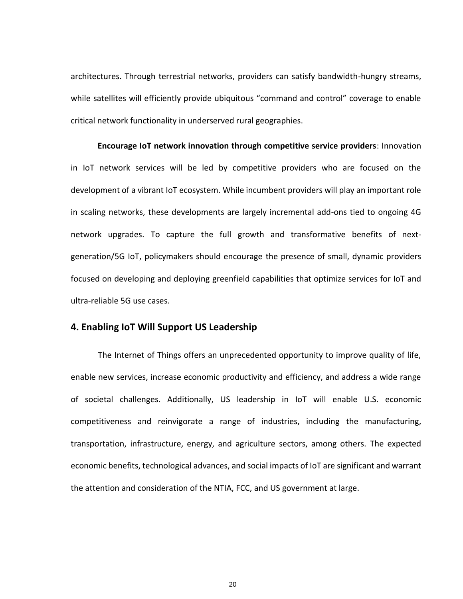architectures. Through terrestrial networks, providers can satisfy bandwidth-hungry streams, while satellites will efficiently provide ubiquitous "command and control" coverage to enable critical network functionality in underserved rural geographies.

**Encourage IoT network innovation through competitive service providers**: Innovation in IoT network services will be led by competitive providers who are focused on the development of a vibrant IoT ecosystem. While incumbent providers will play an important role in scaling networks, these developments are largely incremental add-ons tied to ongoing 4G network upgrades. To capture the full growth and transformative benefits of nextgeneration/5G IoT, policymakers should encourage the presence of small, dynamic providers focused on developing and deploying greenfield capabilities that optimize services for IoT and ultra-reliable 5G use cases.

### **4. Enabling IoT Will Support US Leadership**

The Internet of Things offers an unprecedented opportunity to improve quality of life, enable new services, increase economic productivity and efficiency, and address a wide range of societal challenges. Additionally, US leadership in IoT will enable U.S. economic competitiveness and reinvigorate a range of industries, including the manufacturing, transportation, infrastructure, energy, and agriculture sectors, among others. The expected economic benefits, technological advances, and social impacts of IoT are significant and warrant the attention and consideration of the NTIA, FCC, and US government at large.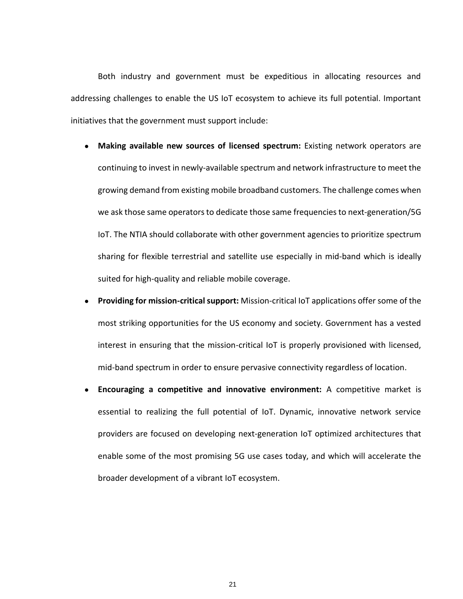Both industry and government must be expeditious in allocating resources and addressing challenges to enable the US IoT ecosystem to achieve its full potential. Important initiatives that the government must support include:

- **Making available new sources of licensed spectrum:** Existing network operators are continuing to invest in newly-available spectrum and network infrastructure to meet the growing demand from existing mobile broadband customers. The challenge comes when we ask those same operators to dedicate those same frequencies to next-generation/5G IoT. The NTIA should collaborate with other government agencies to prioritize spectrum sharing for flexible terrestrial and satellite use especially in mid-band which is ideally suited for high-quality and reliable mobile coverage.
- **Providing for mission-critical support:** Mission-critical IoT applications offer some of the most striking opportunities for the US economy and society. Government has a vested interest in ensuring that the mission-critical IoT is properly provisioned with licensed, mid-band spectrum in order to ensure pervasive connectivity regardless of location.
- **Encouraging a competitive and innovative environment:** A competitive market is essential to realizing the full potential of IoT. Dynamic, innovative network service providers are focused on developing next-generation IoT optimized architectures that enable some of the most promising 5G use cases today, and which will accelerate the broader development of a vibrant IoT ecosystem.